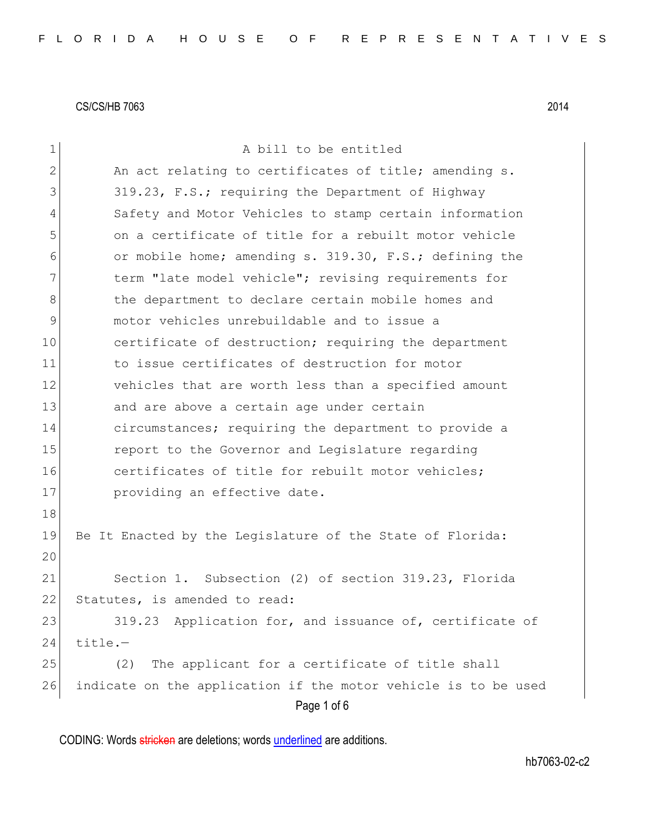Page 1 of 6 1 a bill to be entitled 2 An act relating to certificates of title; amending s. 3 319.23, F.S.; requiring the Department of Highway 4 Safety and Motor Vehicles to stamp certain information 5 on a certificate of title for a rebuilt motor vehicle 6 or mobile home; amending s. 319.30, F.S.; defining the 7 1 term "late model vehicle"; revising requirements for 8 b the department to declare certain mobile homes and 9 motor vehicles unrebuildable and to issue a 10 certificate of destruction; requiring the department 11 to issue certificates of destruction for motor 12 vehicles that are worth less than a specified amount 13 and are above a certain age under certain 14 circumstances; requiring the department to provide a 15 **report to the Governor and Legislature regarding** 16 certificates of title for rebuilt motor vehicles: 17 **providing an effective date.** 18 19 Be It Enacted by the Legislature of the State of Florida: 20 21 Section 1. Subsection (2) of section 319.23, Florida 22 Statutes, is amended to read: 23 319.23 Application for, and issuance of, certificate of  $24$  title.-25 (2) The applicant for a certificate of title shall 26 indicate on the application if the motor vehicle is to be used

CODING: Words stricken are deletions; words underlined are additions.

hb7063-02-c2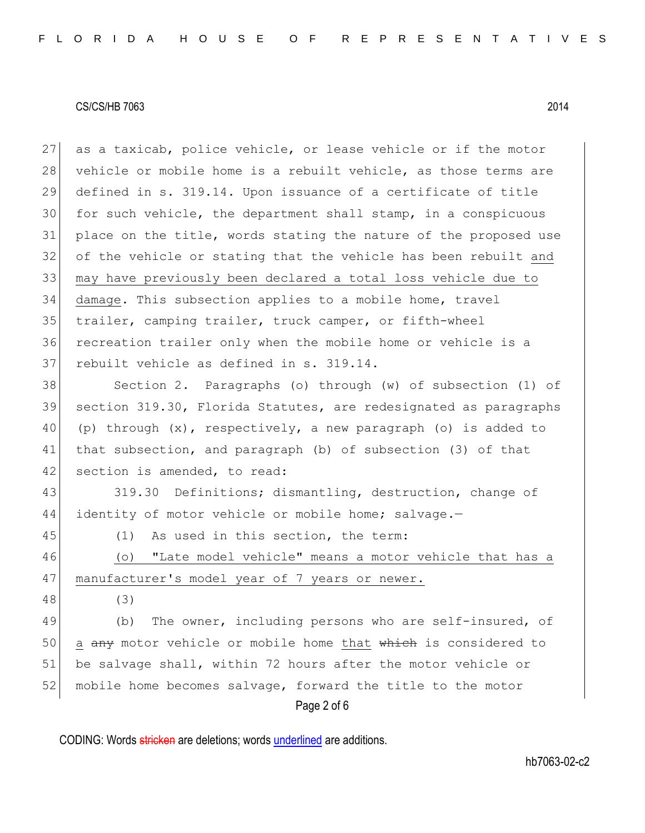as a taxicab, police vehicle, or lease vehicle or if the motor 28 vehicle or mobile home is a rebuilt vehicle, as those terms are defined in s. 319.14. Upon issuance of a certificate of title for such vehicle, the department shall stamp, in a conspicuous 31 place on the title, words stating the nature of the proposed use of the vehicle or stating that the vehicle has been rebuilt and may have previously been declared a total loss vehicle due to damage. This subsection applies to a mobile home, travel trailer, camping trailer, truck camper, or fifth-wheel recreation trailer only when the mobile home or vehicle is a 37 rebuilt vehicle as defined in s. 319.14.

38 Section 2. Paragraphs (o) through (w) of subsection (1) of 39 section 319.30, Florida Statutes, are redesignated as paragraphs 40 (p) through  $(x)$ , respectively, a new paragraph (o) is added to 41 that subsection, and paragraph (b) of subsection (3) of that 42 section is amended, to read:

43 319.30 Definitions; dismantling, destruction, change of 44 identity of motor vehicle or mobile home; salvage.-

45 (1) As used in this section, the term:

46 (o) "Late model vehicle" means a motor vehicle that has a 47 manufacturer's model year of 7 years or newer.

48 (3)

Page 2 of 6 49 (b) The owner, including persons who are self-insured, of 50 a any motor vehicle or mobile home that which is considered to 51 be salvage shall, within 72 hours after the motor vehicle or 52 mobile home becomes salvage, forward the title to the motor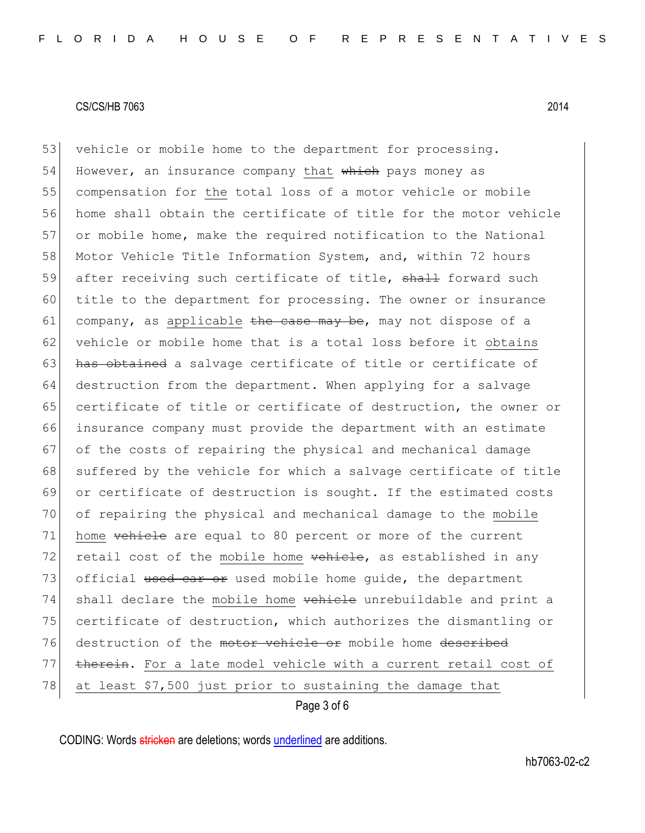Page 3 of 6 53 vehicle or mobile home to the department for processing. 54 However, an insurance company that which pays money as 55 compensation for the total loss of a motor vehicle or mobile 56 home shall obtain the certificate of title for the motor vehicle 57 or mobile home, make the required notification to the National 58 Motor Vehicle Title Information System, and, within 72 hours 59 after receiving such certificate of title, shall forward such 60 title to the department for processing. The owner or insurance 61 company, as applicable the case may be, may not dispose of a 62 vehicle or mobile home that is a total loss before it obtains 63 has obtained a salvage certificate of title or certificate of 64 destruction from the department. When applying for a salvage 65 certificate of title or certificate of destruction, the owner or 66 insurance company must provide the department with an estimate 67 of the costs of repairing the physical and mechanical damage 68 suffered by the vehicle for which a salvage certificate of title 69 or certificate of destruction is sought. If the estimated costs 70 of repairing the physical and mechanical damage to the mobile 71 home <del>vehicle</del> are equal to 80 percent or more of the current 72 retail cost of the mobile home vehicle, as established in any 73 official used car or used mobile home quide, the department 74 shall declare the mobile home vehicle unrebuildable and print a 75 certificate of destruction, which authorizes the dismantling or 76 destruction of the motor vehicle or mobile home described 77 therein. For a late model vehicle with a current retail cost of 78 at least \$7,500 just prior to sustaining the damage that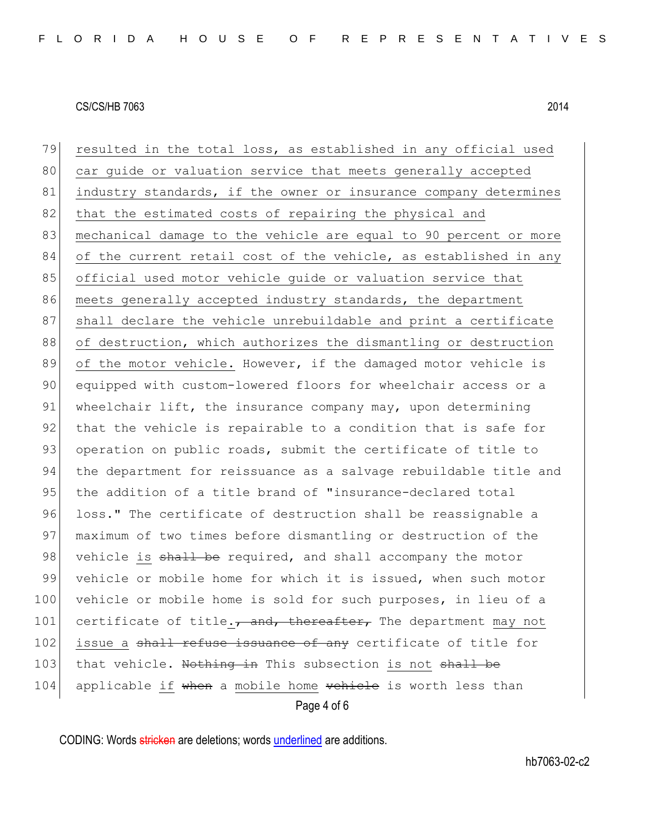Page 4 of 6 79 resulted in the total loss, as established in any official used 80 car quide or valuation service that meets generally accepted 81 industry standards, if the owner or insurance company determines 82 that the estimated costs of repairing the physical and 83 mechanical damage to the vehicle are equal to 90 percent or more 84 of the current retail cost of the vehicle, as established in any 85 official used motor vehicle quide or valuation service that 86 meets generally accepted industry standards, the department 87 Shall declare the vehicle unrebuildable and print a certificate 88 of destruction, which authorizes the dismantling or destruction 89 of the motor vehicle. However, if the damaged motor vehicle is 90 equipped with custom-lowered floors for wheelchair access or a 91 wheelchair lift, the insurance company may, upon determining 92 that the vehicle is repairable to a condition that is safe for 93 operation on public roads, submit the certificate of title to 94 the department for reissuance as a salvage rebuildable title and 95 the addition of a title brand of "insurance-declared total 96 loss." The certificate of destruction shall be reassignable a 97 maximum of two times before dismantling or destruction of the 98 vehicle is shall be required, and shall accompany the motor 99 vehicle or mobile home for which it is issued, when such motor 100 vehicle or mobile home is sold for such purposes, in lieu of a 101 certificate of title. $\tau$  and, thereafter, The department may not 102 issue a shall refuse issuance of any certificate of title for 103 that vehicle. Nothing in This subsection is not shall be 104 applicable if when a mobile home vehicle is worth less than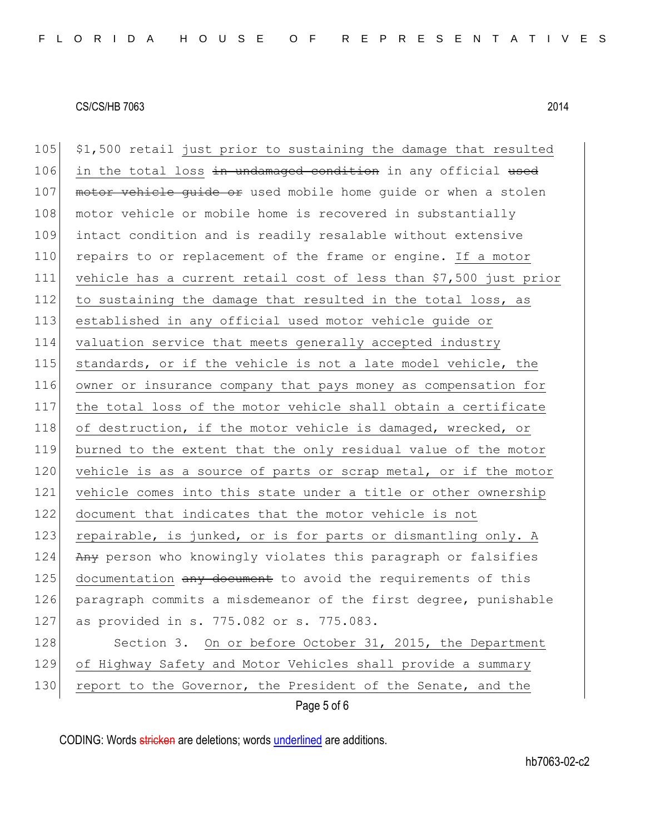105 \$1,500 retail just prior to sustaining the damage that resulted 106 in the total loss in undamaged condition in any official used 107 motor vehicle quide or used mobile home quide or when a stolen 108 motor vehicle or mobile home is recovered in substantially 109 intact condition and is readily resalable without extensive 110 repairs to or replacement of the frame or engine. If a motor 111 vehicle has a current retail cost of less than \$7,500 just prior 112 to sustaining the damage that resulted in the total loss, as 113 established in any official used motor vehicle guide or 114 valuation service that meets generally accepted industry 115 standards, or if the vehicle is not a late model vehicle, the 116 owner or insurance company that pays money as compensation for 117 the total loss of the motor vehicle shall obtain a certificate 118 of destruction, if the motor vehicle is damaged, wrecked, or 119 burned to the extent that the only residual value of the motor 120 vehicle is as a source of parts or scrap metal, or if the motor 121 vehicle comes into this state under a title or other ownership 122 document that indicates that the motor vehicle is not 123 repairable, is junked, or is for parts or dismantling only. A 124 Any person who knowingly violates this paragraph or falsifies 125 documentation any document to avoid the requirements of this 126 paragraph commits a misdemeanor of the first degree, punishable 127 as provided in s. 775.082 or s. 775.083. 128 Section 3. On or before October 31, 2015, the Department 129 of Highway Safety and Motor Vehicles shall provide a summary 130 report to the Governor, the President of the Senate, and the

Page 5 of 6